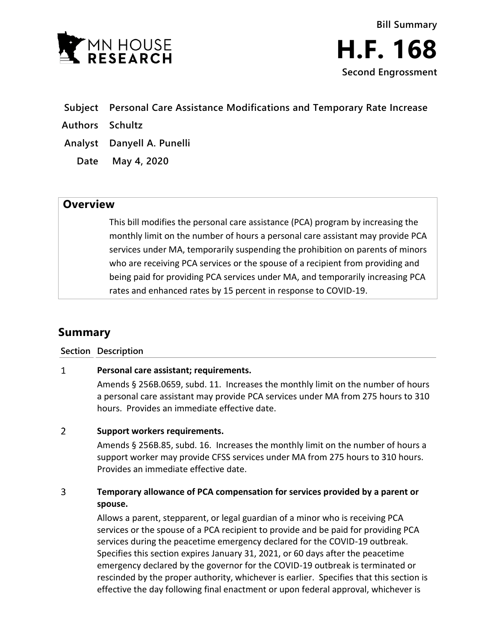

- **Subject Personal Care Assistance Modifications and Temporary Rate Increase**
- **Authors Schultz**
- **Analyst Danyell A. Punelli**
	- **Date May 4, 2020**

# **Overview**

This bill modifies the personal care assistance (PCA) program by increasing the monthly limit on the number of hours a personal care assistant may provide PCA services under MA, temporarily suspending the prohibition on parents of minors who are receiving PCA services or the spouse of a recipient from providing and being paid for providing PCA services under MA, and temporarily increasing PCA rates and enhanced rates by 15 percent in response to COVID-19.

# **Summary**

**Section Description**

### $\mathbf{1}$ **Personal care assistant; requirements.**

Amends § 256B.0659, subd. 11. Increases the monthly limit on the number of hours a personal care assistant may provide PCA services under MA from 275 hours to 310 hours. Provides an immediate effective date.

### $\overline{2}$ **Support workers requirements.**

Amends § 256B.85, subd. 16. Increases the monthly limit on the number of hours a support worker may provide CFSS services under MA from 275 hours to 310 hours. Provides an immediate effective date.

## $\overline{3}$ **Temporary allowance of PCA compensation for services provided by a parent or spouse.**

Allows a parent, stepparent, or legal guardian of a minor who is receiving PCA services or the spouse of a PCA recipient to provide and be paid for providing PCA services during the peacetime emergency declared for the COVID-19 outbreak. Specifies this section expires January 31, 2021, or 60 days after the peacetime emergency declared by the governor for the COVID-19 outbreak is terminated or rescinded by the proper authority, whichever is earlier. Specifies that this section is effective the day following final enactment or upon federal approval, whichever is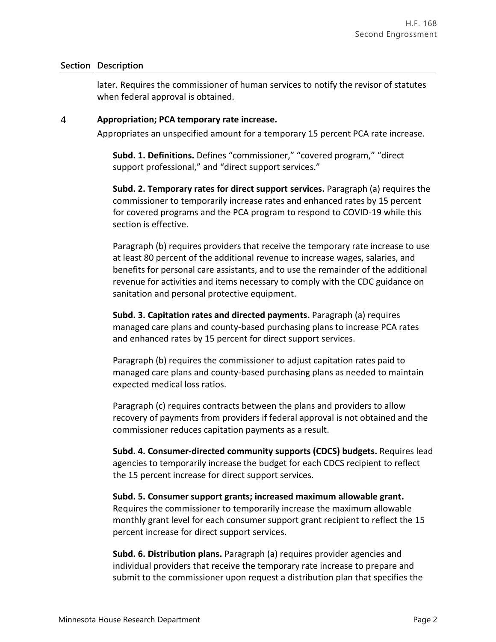## **Section Description**

later. Requires the commissioner of human services to notify the revisor of statutes when federal approval is obtained.

#### $\overline{4}$ **Appropriation; PCA temporary rate increase.**

Appropriates an unspecified amount for a temporary 15 percent PCA rate increase.

**Subd. 1. Definitions.** Defines "commissioner," "covered program," "direct support professional," and "direct support services."

**Subd. 2. Temporary rates for direct support services.** Paragraph (a) requires the commissioner to temporarily increase rates and enhanced rates by 15 percent for covered programs and the PCA program to respond to COVID-19 while this section is effective.

Paragraph (b) requires providers that receive the temporary rate increase to use at least 80 percent of the additional revenue to increase wages, salaries, and benefits for personal care assistants, and to use the remainder of the additional revenue for activities and items necessary to comply with the CDC guidance on sanitation and personal protective equipment.

**Subd. 3. Capitation rates and directed payments.** Paragraph (a) requires managed care plans and county-based purchasing plans to increase PCA rates and enhanced rates by 15 percent for direct support services.

Paragraph (b) requires the commissioner to adjust capitation rates paid to managed care plans and county-based purchasing plans as needed to maintain expected medical loss ratios.

Paragraph (c) requires contracts between the plans and providers to allow recovery of payments from providers if federal approval is not obtained and the commissioner reduces capitation payments as a result.

**Subd. 4. Consumer-directed community supports (CDCS) budgets.** Requires lead agencies to temporarily increase the budget for each CDCS recipient to reflect the 15 percent increase for direct support services.

**Subd. 5. Consumer support grants; increased maximum allowable grant.** Requires the commissioner to temporarily increase the maximum allowable monthly grant level for each consumer support grant recipient to reflect the 15 percent increase for direct support services.

**Subd. 6. Distribution plans.** Paragraph (a) requires provider agencies and individual providers that receive the temporary rate increase to prepare and submit to the commissioner upon request a distribution plan that specifies the